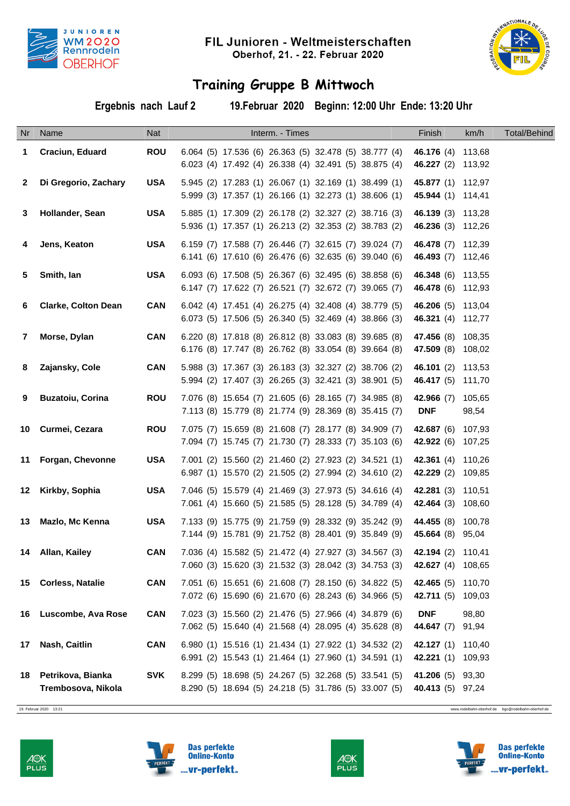



## **Training Gruppe B Mittwoch**

**Ergebnis nach Lauf 2 19.Februar 2020 Beginn: 12:00 Uhr Ende: 13:20 Uhr**

|              | Nr Name                                 | Nat        | Interm. - Times                                                                                                                  | Finish                                               | km/h            | <b>Total/Behind</b> |
|--------------|-----------------------------------------|------------|----------------------------------------------------------------------------------------------------------------------------------|------------------------------------------------------|-----------------|---------------------|
| 1            | Craciun, Eduard                         | <b>ROU</b> | 6.064 (5) 17.536 (6) 26.363 (5) 32.478 (5) 38.777 (4)<br>6.023 (4) 17.492 (4) 26.338 (4) 32.491 (5) 38.875 (4)                   | 46.176 (4) 113,68<br>46.227 (2) 113,92               |                 |                     |
| $\mathbf{2}$ | Di Gregorio, Zachary                    | <b>USA</b> | 5.945 (2) 17.283 (1) 26.067 (1) 32.169 (1) 38.499 (1)<br>5.999 (3) 17.357 (1) 26.166 (1) 32.273 (1) 38.606 (1)                   | 45.877 (1) 112,97<br>45.944 (1) 114,41               |                 |                     |
| 3            | Hollander, Sean                         | <b>USA</b> | 5.885 (1) 17.309 (2) 26.178 (2) 32.327 (2) 38.716 (3)<br>5.936 (1) 17.357 (1) 26.213 (2) 32.353 (2) 38.783 (2)                   | 46.139 (3) 113,28<br>46.236 (3) 112,26               |                 |                     |
| 4            | Jens, Keaton                            | <b>USA</b> | 6.159 (7) 17.588 (7) 26.446 (7) 32.615 (7) 39.024 (7)<br>6.141 (6) 17.610 (6) 26.476 (6) 32.635 (6) 39.040 (6)                   | 46.478 (7) 112,39<br>46.493 (7) 112,46               |                 |                     |
| 5            | Smith, lan                              | <b>USA</b> | 6.093 (6) 17.508 (5) 26.367 (6) 32.495 (6) 38.858 (6)<br>6.147 (7) 17.622 (7) 26.521 (7) 32.672 (7) 39.065 (7)                   | 46.348 (6) 113,55<br>46.478 (6) 112,93               |                 |                     |
| 6            | <b>Clarke, Colton Dean</b>              | <b>CAN</b> | 6.042 (4) 17.451 (4) 26.275 (4) 32.408 (4) 38.779 (5)<br>6.073 (5) 17.506 (5) 26.340 (5) 32.469 (4) 38.866 (3)                   | 46.206 (5) 113,04<br>46.321 (4) 112,77               |                 |                     |
| $\mathbf{7}$ | Morse, Dylan                            | <b>CAN</b> | 6.220 (8) 17.818 (8) 26.812 (8) 33.083 (8) 39.685 (8)<br>6.176 (8) 17.747 (8) 26.762 (8) 33.054 (8) 39.664 (8)                   | 47.456 (8) 108,35<br>47.509 (8) 108,02               |                 |                     |
| 8            | Zajansky, Cole                          | <b>CAN</b> | 5.988 (3) 17.367 (3) 26.183 (3) 32.327 (2) 38.706 (2)<br>5.994 (2) 17.407 (3) 26.265 (3) 32.421 (3) 38.901 (5)                   | 46.101 (2) 113,53<br>46.417 (5) 111,70               |                 |                     |
| 9            | <b>Buzatoiu, Corina</b>                 | <b>ROU</b> | 7.076 (8) 15.654 (7) 21.605 (6) 28.165 (7) 34.985 (8)<br>7.113 (8) 15.779 (8) 21.774 (9) 28.369 (8) 35.415 (7)                   | 42.966 (7)<br><b>DNF</b>                             | 105,65<br>98,54 |                     |
|              | 10 Curmei, Cezara                       | <b>ROU</b> | 7.075 (7) 15.659 (8) 21.608 (7) 28.177 (8) 34.909 (7)<br>7.094 (7) 15.745 (7) 21.730 (7) 28.333 (7) 35.103 (6)                   | <b>42.687</b> (6) 107,93<br>42.922 (6) 107,25        |                 |                     |
|              | 11 Forgan, Chevonne                     | <b>USA</b> | 7.001 (2) 15.560 (2) 21.460 (2) 27.923 (2) 34.521 (1)<br>6.987 (1) 15.570 (2) 21.505 (2) 27.994 (2) 34.610 (2)                   | <b>42.361</b> (4) 110,26<br><b>42.229</b> (2) 109,85 |                 |                     |
|              | 12 Kirkby, Sophia                       | <b>USA</b> | 7.046 (5) 15.579 (4) 21.469 (3) 27.973 (5) 34.616 (4)<br>7.061 (4) 15.660 (5) 21.585 (5) 28.128 (5) 34.789 (4)                   | 42.281 (3) 110,51<br><b>42.464</b> (3) 108,60        |                 |                     |
|              | 13 Mazlo, Mc Kenna                      | <b>USA</b> | 7.133 (9) 15.775 (9) 21.759 (9) 28.332 (9) 35.242 (9)<br>7.144 (9) 15.781 (9) 21.752 (8) 28.401 (9) 35.849 (9)                   | 44.455 (8) 100,78<br><b>45.664</b> (8) 95,04         |                 |                     |
|              | 14 Allan, Kailey                        | CAN        | 7.036 (4) 15.582 (5) 21.472 (4) 27.927 (3) 34.567 (3) 42.194 (2) 110,41<br>7.060 (3) 15.620 (3) 21.532 (3) 28.042 (3) 34.753 (3) | 42.627 (4) 108,65                                    |                 |                     |
|              | 15 Corless, Natalie                     | <b>CAN</b> | 7.051 (6) 15.651 (6) 21.608 (7) 28.150 (6) 34.822 (5)<br>7.072 (6) 15.690 (6) 21.670 (6) 28.243 (6) 34.966 (5)                   | 42.465 (5) 110,70<br>42.711 (5) 109,03               |                 |                     |
|              | 16 Luscombe, Ava Rose                   | <b>CAN</b> | 7.023 (3) 15.560 (2) 21.476 (5) 27.966 (4) 34.879 (6)<br>7.062 (5) 15.640 (4) 21.568 (4) 28.095 (4) 35.628 (8)                   | <b>DNF</b><br>44.647 (7) 91,94                       | 98,80           |                     |
|              | 17 Nash, Caitlin                        | <b>CAN</b> | 6.980 (1) 15.516 (1) 21.434 (1) 27.922 (1) 34.532 (2)<br>6.991 (2) 15.543 (1) 21.464 (1) 27.960 (1) 34.591 (1)                   | 42.127 (1) 110,40<br>42.221 (1) 109,93               |                 |                     |
| 18           | Petrikova, Bianka<br>Trembosova, Nikola | <b>SVK</b> | 8.299 (5) 18.698 (5) 24.267 (5) 32.268 (5) 33.541 (5)<br>8.290 (5) 18.694 (5) 24.218 (5) 31.786 (5) 33.007 (5)                   | 41.206 (5) 93,30<br>40.413 (5) 97,24                 |                 |                     |